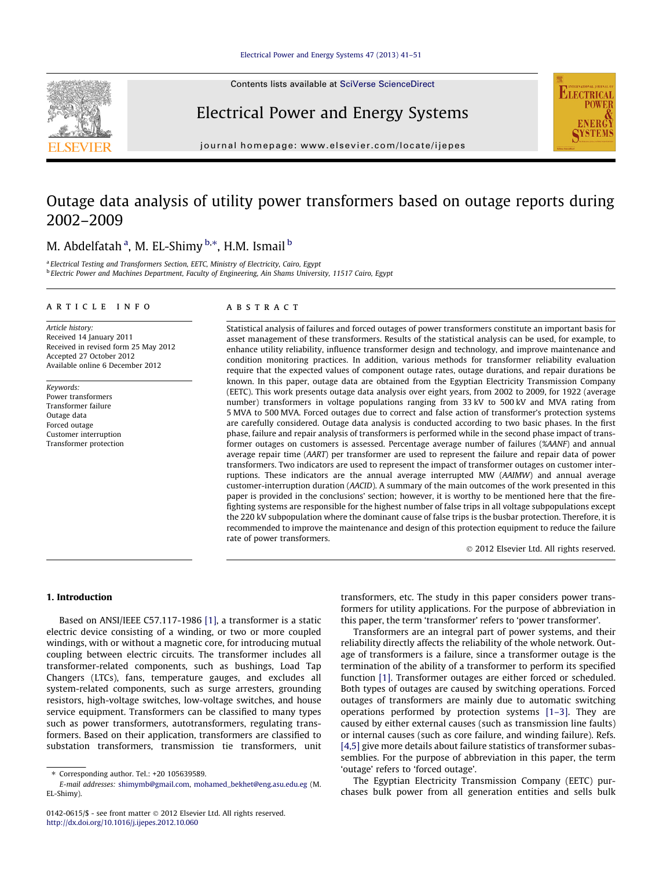

Contents lists available at [SciVerse ScienceDirect](http://www.sciencedirect.com/science/journal/01420615)

Electrical Power and Energy Systems



journal homepage: [www.elsevier.com/locate/ijepes](http://www.elsevier.com/locate/ijepes)

## Outage data analysis of utility power transformers based on outage reports during 2002–2009

### M. Abdelfatah <sup>a</sup>, M. EL-Shimy <sup>b,</sup>\*, H.M. Ismail <sup>b</sup>

<sup>a</sup> Electrical Testing and Transformers Section, EETC, Ministry of Electricity, Cairo, Egypt <sup>b</sup> Electric Power and Machines Department, Faculty of Engineering, Ain Shams University, 11517 Cairo, Egypt

#### article info

Article history: Received 14 January 2011 Received in revised form 25 May 2012 Accepted 27 October 2012 Available online 6 December 2012

Keywords: Power transformers Transformer failure Outage data Forced outage Customer interruption Transformer protection

#### **ABSTRACT**

Statistical analysis of failures and forced outages of power transformers constitute an important basis for asset management of these transformers. Results of the statistical analysis can be used, for example, to enhance utility reliability, influence transformer design and technology, and improve maintenance and condition monitoring practices. In addition, various methods for transformer reliability evaluation require that the expected values of component outage rates, outage durations, and repair durations be known. In this paper, outage data are obtained from the Egyptian Electricity Transmission Company (EETC). This work presents outage data analysis over eight years, from 2002 to 2009, for 1922 (average number) transformers in voltage populations ranging from 33 kV to 500 kV and MVA rating from 5 MVA to 500 MVA. Forced outages due to correct and false action of transformer's protection systems are carefully considered. Outage data analysis is conducted according to two basic phases. In the first phase, failure and repair analysis of transformers is performed while in the second phase impact of transformer outages on customers is assessed. Percentage average number of failures (%AANF) and annual average repair time (AART) per transformer are used to represent the failure and repair data of power transformers. Two indicators are used to represent the impact of transformer outages on customer interruptions. These indicators are the annual average interrupted MW (AAIMW) and annual average customer-interruption duration (AACID). A summary of the main outcomes of the work presented in this paper is provided in the conclusions' section; however, it is worthy to be mentioned here that the firefighting systems are responsible for the highest number of false trips in all voltage subpopulations except the 220 kV subpopulation where the dominant cause of false trips is the busbar protection. Therefore, it is recommended to improve the maintenance and design of this protection equipment to reduce the failure rate of power transformers.

- 2012 Elsevier Ltd. All rights reserved.

#### 1. Introduction

Based on ANSI/IEEE C57.117-1986 [\[1\],](#page--1-0) a transformer is a static electric device consisting of a winding, or two or more coupled windings, with or without a magnetic core, for introducing mutual coupling between electric circuits. The transformer includes all transformer-related components, such as bushings, Load Tap Changers (LTCs), fans, temperature gauges, and excludes all system-related components, such as surge arresters, grounding resistors, high-voltage switches, low-voltage switches, and house service equipment. Transformers can be classified to many types such as power transformers, autotransformers, regulating transformers. Based on their application, transformers are classified to substation transformers, transmission tie transformers, unit

transformers, etc. The study in this paper considers power transformers for utility applications. For the purpose of abbreviation in this paper, the term 'transformer' refers to 'power transformer'.

Transformers are an integral part of power systems, and their reliability directly affects the reliability of the whole network. Outage of transformers is a failure, since a transformer outage is the termination of the ability of a transformer to perform its specified function [\[1\].](#page--1-0) Transformer outages are either forced or scheduled. Both types of outages are caused by switching operations. Forced outages of transformers are mainly due to automatic switching operations performed by protection systems [\[1–3\].](#page--1-0) They are caused by either external causes (such as transmission line faults) or internal causes (such as core failure, and winding failure). Refs. [\[4,5\]](#page--1-0) give more details about failure statistics of transformer subassemblies. For the purpose of abbreviation in this paper, the term 'outage' refers to 'forced outage'.

The Egyptian Electricity Transmission Company (EETC) purchases bulk power from all generation entities and sells bulk

<sup>⇑</sup> Corresponding author. Tel.: +20 105639589.

E-mail addresses: [shimymb@gmail.com](mailto:shimymb@gmail.com), [mohamed\\_bekhet@eng.asu.edu.eg](mailto:mohamed_bekhet@eng.asu.edu.eg) (M. EL-Shimy).

<sup>0142-0615/\$ -</sup> see front matter © 2012 Elsevier Ltd. All rights reserved. <http://dx.doi.org/10.1016/j.ijepes.2012.10.060>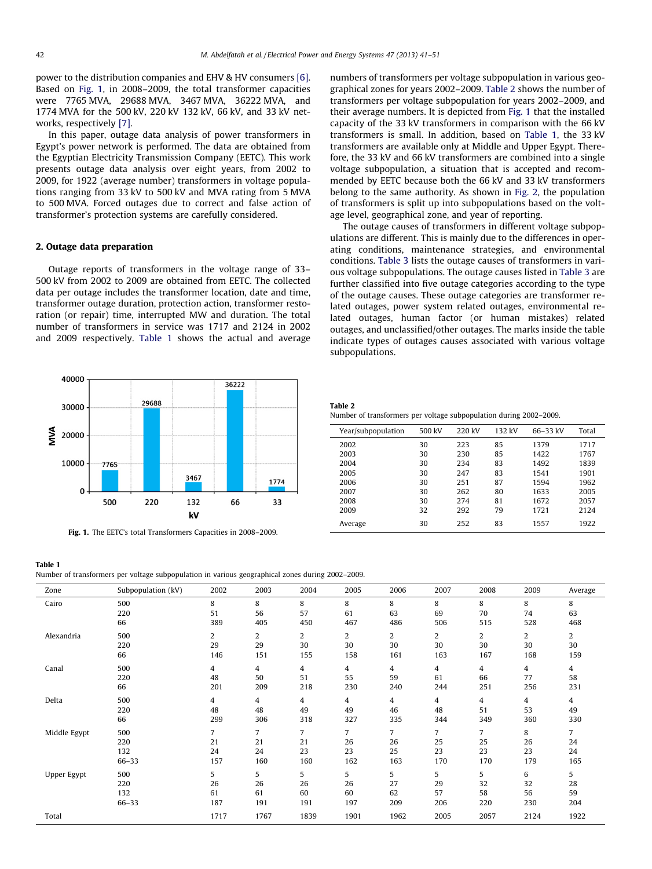power to the distribution companies and EHV & HV consumers [\[6\].](#page--1-0) Based on Fig. 1, in 2008–2009, the total transformer capacities were 7765 MVA, 29688 MVA, 3467 MVA, 36222 MVA, and 1774 MVA for the 500 kV, 220 kV 132 kV, 66 kV, and 33 kV networks, respectively [\[7\]](#page--1-0).

In this paper, outage data analysis of power transformers in Egypt's power network is performed. The data are obtained from the Egyptian Electricity Transmission Company (EETC). This work presents outage data analysis over eight years, from 2002 to 2009, for 1922 (average number) transformers in voltage populations ranging from 33 kV to 500 kV and MVA rating from 5 MVA to 500 MVA. Forced outages due to correct and false action of transformer's protection systems are carefully considered.

#### 2. Outage data preparation

Outage reports of transformers in the voltage range of 33– 500 kV from 2002 to 2009 are obtained from EETC. The collected data per outage includes the transformer location, date and time, transformer outage duration, protection action, transformer restoration (or repair) time, interrupted MW and duration. The total number of transformers in service was 1717 and 2124 in 2002 and 2009 respectively. Table 1 shows the actual and average



Fig. 1. The EETC's total Transformers Capacities in 2008–2009.

numbers of transformers per voltage subpopulation in various geographical zones for years 2002–2009. Table 2 shows the number of transformers per voltage subpopulation for years 2002–2009, and their average numbers. It is depicted from Fig. 1 that the installed capacity of the 33 kV transformers in comparison with the 66 kV transformers is small. In addition, based on Table 1, the 33 kV transformers are available only at Middle and Upper Egypt. Therefore, the 33 kV and 66 kV transformers are combined into a single voltage subpopulation, a situation that is accepted and recommended by EETC because both the 66 kV and 33 kV transformers belong to the same authority. As shown in [Fig. 2](#page--1-0), the population of transformers is split up into subpopulations based on the voltage level, geographical zone, and year of reporting.

The outage causes of transformers in different voltage subpopulations are different. This is mainly due to the differences in operating conditions, maintenance strategies, and environmental conditions. [Table 3](#page--1-0) lists the outage causes of transformers in various voltage subpopulations. The outage causes listed in [Table 3](#page--1-0) are further classified into five outage categories according to the type of the outage causes. These outage categories are transformer related outages, power system related outages, environmental related outages, human factor (or human mistakes) related outages, and unclassified/other outages. The marks inside the table indicate types of outages causes associated with various voltage subpopulations.

Table 2 Number of transformers per voltage subpopulation during 2002–2009.

| Year/subpopulation | 500 kV | 220 kV | 132 kV | 66-33 kV | Total |
|--------------------|--------|--------|--------|----------|-------|
| 2002               | 30     | 223    | 85     | 1379     | 1717  |
| 2003               | 30     | 230    | 85     | 1422     | 1767  |
| 2004               | 30     | 234    | 83     | 1492     | 1839  |
| 2005               | 30     | 247    | 83     | 1541     | 1901  |
| 2006               | 30     | 251    | 87     | 1594     | 1962  |
| 2007               | 30     | 262    | 80     | 1633     | 2005  |
| 2008               | 30     | 274    | 81     | 1672     | 2057  |
| 2009               | 32     | 292    | 79     | 1721     | 2124  |
| Average            | 30     | 252    | 83     | 1557     | 1922  |

#### Table 1

Number of transformers per voltage subpopulation in various geographical zones during 2002–2009.

| Zone         | Subpopulation (kV) | 2002           | 2003           | 2004           | 2005           | 2006 | 2007           | 2008           | 2009 | Average        |
|--------------|--------------------|----------------|----------------|----------------|----------------|------|----------------|----------------|------|----------------|
| Cairo        | 500                | 8              | 8              | 8              | 8              | 8    | 8              | 8              | 8    | 8              |
|              | 220                | 51             | 56             | 57             | 61             | 63   | 69             | 70             | 74   | 63             |
|              | 66                 | 389            | 405            | 450            | 467            | 486  | 506            | 515            | 528  | 468            |
| Alexandria   | 500                | 2              | $\overline{2}$ | $\overline{2}$ | $\overline{c}$ | 2    | 2              | 2              | 2    | 2              |
|              | 220                | 29             | 29             | 30             | 30             | 30   | 30             | 30             | 30   | 30             |
|              | 66                 | 146            | 151            | 155            | 158            | 161  | 163            | 167            | 168  | 159            |
| Canal        | 500                | 4              | 4              | 4              | 4              | 4    | 4              | 4              | 4    | 4              |
|              | 220                | 48             | 50             | 51             | 55             | 59   | 61             | 66             | 77   | 58             |
|              | 66                 | 201            | 209            | 218            | 230            | 240  | 244            | 251            | 256  | 231            |
| Delta        | 500                | 4              | 4              | 4              | 4              | 4    | 4              | 4              | 4    | 4              |
|              | 220                | 48             | 48             | 49             | 49             | 46   | 48             | 51             | 53   | 49             |
|              | 66                 | 299            | 306            | 318            | 327            | 335  | 344            | 349            | 360  | 330            |
| Middle Egypt | 500                | $\overline{7}$ | 7              | $\overline{7}$ | $\overline{7}$ | 7    | $\overline{7}$ | $\overline{7}$ | 8    | $\overline{7}$ |
|              | 220                | 21             | 21             | 21             | 26             | 26   | 25             | 25             | 26   | 24             |
|              | 132                | 24             | 24             | 23             | 23             | 25   | 23             | 23             | 23   | 24             |
|              | $66 - 33$          | 157            | 160            | 160            | 162            | 163  | 170            | 170            | 179  | 165            |
| Upper Egypt  | 500                | 5              | 5              | 5              | 5              | 5    | 5              | 5              | 6    | 5              |
|              | 220                | 26             | 26             | 26             | 26             | 27   | 29             | 32             | 32   | 28             |
|              | 132                | 61             | 61             | 60             | 60             | 62   | 57             | 58             | 56   | 59             |
|              | $66 - 33$          | 187            | 191            | 191            | 197            | 209  | 206            | 220            | 230  | 204            |
| Total        |                    | 1717           | 1767           | 1839           | 1901           | 1962 | 2005           | 2057           | 2124 | 1922           |